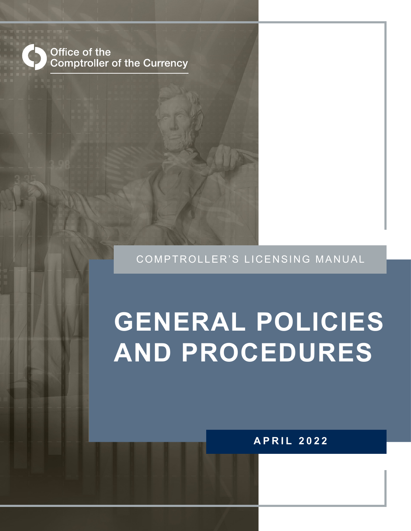

#### COMPTROLLER'S LICENSING MANUAL

# **GENERAL POLICIES AND PROCEDURES**

#### **APRIL 2022**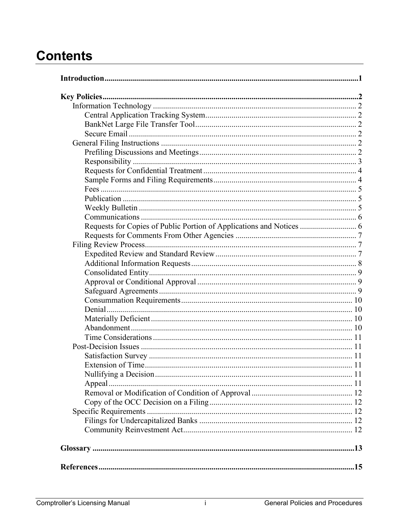# **Contents**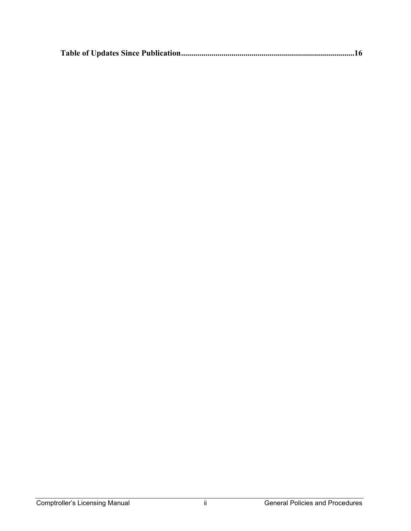|--|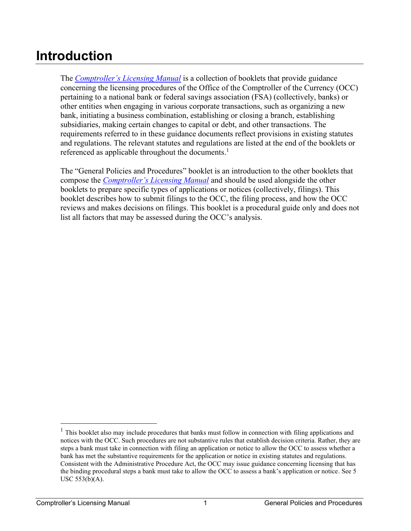# <span id="page-3-0"></span>**Introduction**

The *[Comptroller's Licensing Manual](http://www.occ.treas.gov/publications/publications-by-type/licensing-manuals/index-licensing-manuals.html)* is a collection of booklets that provide guidance concerning the licensing procedures of the Office of the Comptroller of the Currency (OCC) pertaining to a national bank or federal savings association (FSA) (collectively, banks) or other entities when engaging in various corporate transactions, such as organizing a new bank, initiating a business combination, establishing or closing a branch, establishing subsidiaries, making certain changes to capital or debt, and other transactions. The requirements referred to in these guidance documents reflect provisions in existing statutes and regulations. The relevant statutes and regulations are listed at the end of the booklets or referenced as applicable throughout the documents.<sup>1</sup>

The "General Policies and Procedures" booklet is an introduction to the other booklets that compose the *[Comptroller's Licensing Manual](https://www.occ.treas.gov/publications-and-resources/publications/comptrollers-licensing-manual/index-comptrollers-licensing-manual.html)* and should be used alongside the other booklets to prepare specific types of applications or notices (collectively, filings). This booklet describes how to submit filings to the OCC, the filing process, and how the OCC reviews and makes decisions on filings. This booklet is a procedural guide only and does not list all factors that may be assessed during the OCC's analysis.

 $<sup>1</sup>$  This booklet also may include procedures that banks must follow in connection with filing applications and</sup> notices with the OCC. Such procedures are not substantive rules that establish decision criteria. Rather, they are steps a bank must take in connection with filing an application or notice to allow the OCC to assess whether a bank has met the substantive requirements for the application or notice in existing statutes and regulations. Consistent with the Administrative Procedure Act, the OCC may issue guidance concerning licensing that has the binding procedural steps a bank must take to allow the OCC to assess a bank's application or notice. See 5 USC 553(b)(A).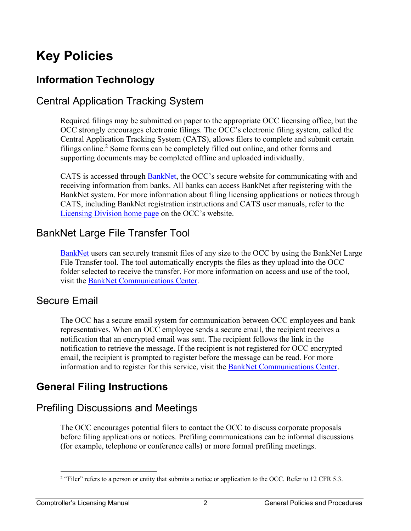# <span id="page-4-0"></span>**Key Policies**

# <span id="page-4-1"></span>**Information Technology**

### <span id="page-4-2"></span>Central Application Tracking System

Required filings may be submitted on paper to the appropriate OCC licensing office, but the OCC strongly encourages electronic filings. The OCC's electronic filing system, called the Central Application Tracking System (CATS), allows filers to complete and submit certain filings online. 2 Some forms can be completely filled out online, and other forms and supporting documents may be completed offline and uploaded individually.

CATS is accessed through [BankNet,](https://www.banknet.gov/entrance/default.html) the OCC's secure website for communicating with and receiving information from banks. All banks can access BankNet after registering with the BankNet system. For more information about filing licensing applications or notices through CATS, including BankNet registration instructions and CATS user manuals, refer to the [Licensing Division home page](http://www.occ.treas.gov/topics/licensing/index-licensing.html) on the OCC's website.

#### <span id="page-4-3"></span>BankNet Large File Transfer Tool

<span id="page-4-4"></span>[BankNet](https://www.banknet.gov/entrance/default.html) users can securely transmit files of any size to the OCC by using the BankNet Large File Transfer tool. The tool automatically encrypts the files as they upload into the OCC folder selected to receive the transfer. For more information on access and use of the tool, visit the [BankNet Communications Center.](https://www.banknet.gov/entrance/default.html)

#### Secure Email

 representatives. When an OCC employee sends a secure email, the recipient receives a email, the recipient is prompted to register before the message can be read. For more The OCC has a secure email system for communication between OCC employees and bank notification that an encrypted email was sent. The recipient follows the link in the notification to retrieve the message. If the recipient is not registered for OCC encrypted information and to register for this service, visit the [BankNet Communications Center.](https://www.banknet.gov/entrance/default.html)

# <span id="page-4-5"></span>**General Filing Instructions**

#### <span id="page-4-6"></span>Prefiling Discussions and Meetings

The OCC encourages potential filers to contact the OCC to discuss corporate proposals before filing applications or notices. Prefiling communications can be informal discussions (for example, telephone or conference calls) or more formal prefiling meetings.

 $2$  "Filer" refers to a person or entity that submits a notice or application to the OCC. Refer to 12 CFR 5.3.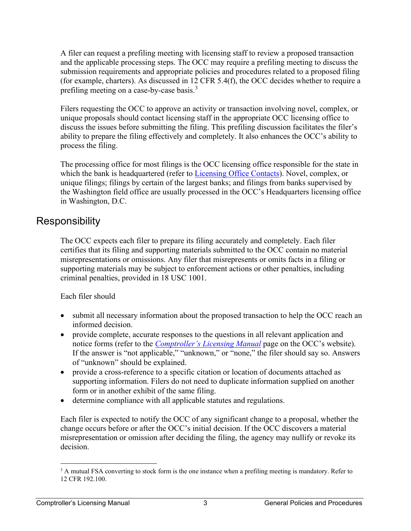A filer can request a prefiling meeting with licensing staff to review a proposed transaction and the applicable processing steps. The OCC may require a prefiling meeting to discuss the submission requirements and appropriate policies and procedures related to a proposed filing (for example, charters). As discussed in 12 CFR 5.4(f), the OCC decides whether to require a prefiling meeting on a case-by-case basis.<sup>3</sup>

Filers requesting the OCC to approve an activity or transaction involving novel, complex, or unique proposals should contact licensing staff in the appropriate OCC licensing office to discuss the issues before submitting the filing. This prefiling discussion facilitates the filer's ability to prepare the filing effectively and completely. It also enhances the OCC's ability to process the filing.

 The processing office for most filings is the OCC licensing office responsible for the state in which the bank is headquartered (refer to [Licensing Office Contacts\)](https://www.occ.gov/topics/licensing/application-contacts.html). Novel, complex, or unique filings; filings by certain of the largest banks; and filings from banks supervised by the Washington field office are usually processed in the OCC's Headquarters licensing office in Washington, D.C.

#### <span id="page-5-0"></span>**Responsibility**

The OCC expects each filer to prepare its filing accurately and completely. Each filer certifies that its filing and supporting materials submitted to the OCC contain no material misrepresentations or omissions. Any filer that misrepresents or omits facts in a filing or supporting materials may be subject to enforcement actions or other penalties, including criminal penalties, provided in 18 USC 1001.

Each filer should

- submit all necessary information about the proposed transaction to help the OCC reach an informed decision.
- of "unknown" should be explained. • provide complete, accurate responses to the questions in all relevant application and notice forms (refer to the *Comptroller's [Licensing Manual](https://www.occ.gov/publications/publications-by-type/licensing-manuals/index-licensing-manuals.html)* page on the OCC's website). If the answer is "not applicable," "unknown," or "none," the filer should say so. Answers
- provide a cross-reference to a specific citation or location of documents attached as supporting information. Filers do not need to duplicate information supplied on another form or in another exhibit of the same filing.
- determine compliance with all applicable statutes and regulations.

Each filer is expected to notify the OCC of any significant change to a proposal, whether the change occurs before or after the OCC's initial decision. If the OCC discovers a material misrepresentation or omission after deciding the filing, the agency may nullify or revoke its decision.

 $3$  A mutual FSA converting to stock form is the one instance when a prefiling meeting is mandatory. Refer to 12 CFR 192.100.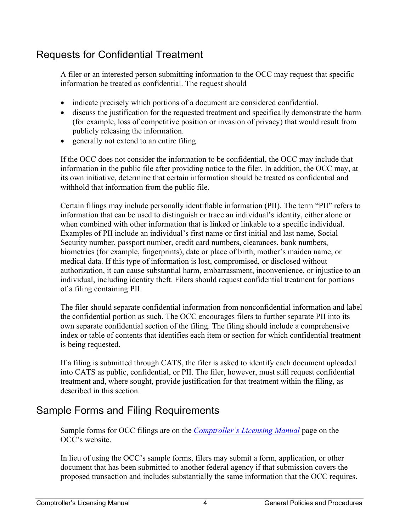## <span id="page-6-0"></span>Requests for Confidential Treatment

A filer or an interested person submitting information to the OCC may request that specific information be treated as confidential. The request should

- indicate precisely which portions of a document are considered confidential.
- discuss the justification for the requested treatment and specifically demonstrate the harm (for example, loss of competitive position or invasion of privacy) that would result from publicly releasing the information.
- generally not extend to an entire filing.

If the OCC does not consider the information to be confidential, the OCC may include that information in the public file after providing notice to the filer. In addition, the OCC may, at its own initiative, determine that certain information should be treated as confidential and withhold that information from the public file.

Certain filings may include personally identifiable information (PII). The term "PII" refers to information that can be used to distinguish or trace an individual's identity, either alone or when combined with other information that is linked or linkable to a specific individual. Examples of PII include an individual's first name or first initial and last name, Social Security number, passport number, credit card numbers, clearances, bank numbers, biometrics (for example, fingerprints), date or place of birth, mother's maiden name, or medical data. If this type of information is lost, compromised, or disclosed without authorization, it can cause substantial harm, embarrassment, inconvenience, or injustice to an individual, including identity theft. Filers should request confidential treatment for portions of a filing containing PII.

The filer should separate confidential information from nonconfidential information and label the confidential portion as such. The OCC encourages filers to further separate PII into its own separate confidential section of the filing. The filing should include a comprehensive index or table of contents that identifies each item or section for which confidential treatment is being requested.

If a filing is submitted through CATS, the filer is asked to identify each document uploaded into CATS as public, confidential, or PII. The filer, however, must still request confidential treatment and, where sought, provide justification for that treatment within the filing, as described in this section.

## <span id="page-6-1"></span>Sample Forms and Filing Requirements

Sample forms for OCC filings are on the *Comptroller's [Licensing Manual](https://www.occ.gov/publications/publications-by-type/licensing-manuals/index-licensing-manuals.html)* page on the OCC's website.

In lieu of using the OCC's sample forms, filers may submit a form, application, or other document that has been submitted to another federal agency if that submission covers the proposed transaction and includes substantially the same information that the OCC requires.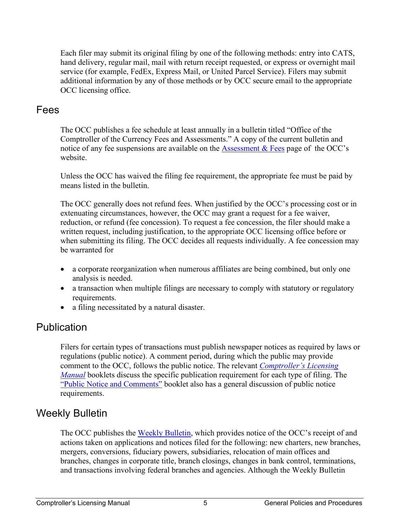Each filer may submit its original filing by one of the following methods: entry into CATS, hand delivery, regular mail, mail with return receipt requested, or express or overnight mail service (for example, FedEx, Express Mail, or United Parcel Service). Filers may submit additional information by any of those methods or by OCC secure email to the appropriate OCC licensing office.

#### <span id="page-7-0"></span>Fees

The OCC publishes a fee schedule at least annually in a bulletin titled "Office of the Comptroller of the Currency Fees and Assessments." A copy of the current bulletin and notice of any fee suspensions are available on the [Assessment & Fees](https://occ.gov/topics/supervision-and-examination/examinations/assessments-and-fees/index-assessments-and-fees.html) page of the OCC's website.

Unless the OCC has waived the filing fee requirement, the appropriate fee must be paid by means listed in the bulletin.

The OCC generally does not refund fees. When justified by the OCC's processing cost or in extenuating circumstances, however, the OCC may grant a request for a fee waiver, reduction, or refund (fee concession). To request a fee concession, the filer should make a written request, including justification, to the appropriate OCC licensing office before or when submitting its filing. The OCC decides all requests individually. A fee concession may be warranted for

- a corporate reorganization when numerous affiliates are being combined, but only one analysis is needed.
- a transaction when multiple filings are necessary to comply with statutory or regulatory requirements.
- a filing necessitated by a natural disaster.

#### <span id="page-7-1"></span>**Publication**

Filers for certain types of transactions must publish newspaper notices as required by laws or regulations (public notice). A comment period, during which the public may provide comment to the OCC, follows the public notice. The relevant *[Comptroller's Licensing](https://www.occ.treas.gov/publications-and-resources/publications/comptrollers-licensing-manual/index-comptrollers-licensing-manual.html) [Manual](https://www.occ.treas.gov/publications-and-resources/publications/comptrollers-licensing-manual/index-comptrollers-licensing-manual.html)* booklets discuss the specific publication requirement for each type of filing. The ["Public Notice and Comments"](https://www.occ.gov/publications-and-resources/publications/comptrollers-licensing-manual/files/licensing-booklet-public-notice-and-comments.html) booklet also has a general discussion of public notice requirements.

#### <span id="page-7-2"></span>Weekly Bulletin

The OCC publishes the [Weekly Bulletin,](https://www.occ.gov/topics/charters-and-licensing/weekly-bulletin/index-weekly-bulletin.html) which provides notice of the OCC's receipt of and actions taken on applications and notices filed for the following: new charters, new branches, mergers, conversions, fiduciary powers, subsidiaries, relocation of main offices and branches, changes in corporate title, branch closings, changes in bank control, terminations, and transactions involving federal branches and agencies. Although the Weekly Bulletin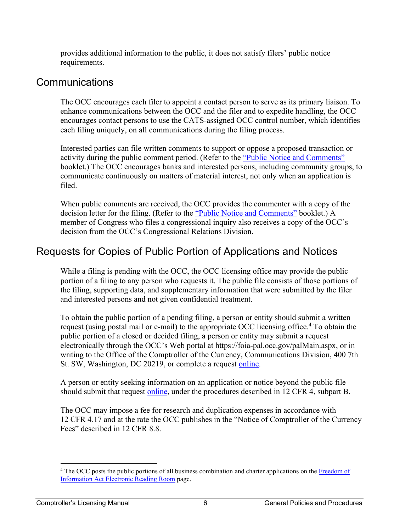provides additional information to the public, it does not satisfy filers' public notice requirements.

#### <span id="page-8-0"></span>Communications

The OCC encourages each filer to appoint a contact person to serve as its primary liaison. To enhance communications between the OCC and the filer and to expedite handling, the OCC encourages contact persons to use the CATS-assigned OCC control number, which identifies each filing uniquely, on all communications during the filing process.

Interested parties can file written comments to support or oppose a proposed transaction or activity during the public comment period. (Refer to the ["Public Notice and Comments"](https://www.occ.gov/publications-and-resources/publications/comptrollers-licensing-manual/files/licensing-booklet-public-notice-and-comments.html) booklet.) The OCC encourages banks and interested persons, including community groups, to communicate continuously on matters of material interest, not only when an application is filed.

When public comments are received, the OCC provides the commenter with a copy of the decision letter for the filing. (Refer to the ["Public Notice and Comments"](https://www.occ.gov/publications-and-resources/publications/comptrollers-licensing-manual/files/licensing-booklet-public-notice-and-comments.html) booklet.) A member of Congress who files a congressional inquiry also receives a copy of the OCC's decision from the OCC's Congressional Relations Division.

#### <span id="page-8-1"></span>Requests for Copies of Public Portion of Applications and Notices

While a filing is pending with the OCC, the OCC licensing office may provide the public portion of a filing to any person who requests it. The public file consists of those portions of the filing, supporting data, and supplementary information that were submitted by the filer and interested persons and not given confidential treatment.

To obtain the public portion of a pending filing, a person or entity should submit a written request (using postal mail or e-mail) to the appropriate OCC licensing office.<sup>4</sup> To obtain the public portion of a closed or decided filing, a person or entity may submit a request electronically through the OCC's Web portal at [https://foia-pal.occ.gov/palMain.aspx,](https://foia-pal.occ.gov/palMain.aspx) or in writing to the Office of the Comptroller of the Currency, Communications Division, 400 7th St. SW, Washington, DC 20219, or complete a request [online.](https://foia-pal.occ.gov/palMain.aspx)

A person or entity seeking information on an application or notice beyond the public file should submit that request [online,](https://foia-pal.occ.gov/palMain.aspx) under the procedures described in 12 CFR 4, subpart B.

The OCC may impose a fee for research and duplication expenses in accordance with 12 CFR 4.17 and at the rate the OCC publishes in the "Notice of Comptroller of the Currency Fees" described in 12 CFR 8.8.

<sup>&</sup>lt;sup>4</sup> The OCC posts the public portions of all business combination and charter applications on the Freedom of [Information Act Electronic Reading Room](https://foia-pal.occ.gov/app/ReadingRoom.aspx) page.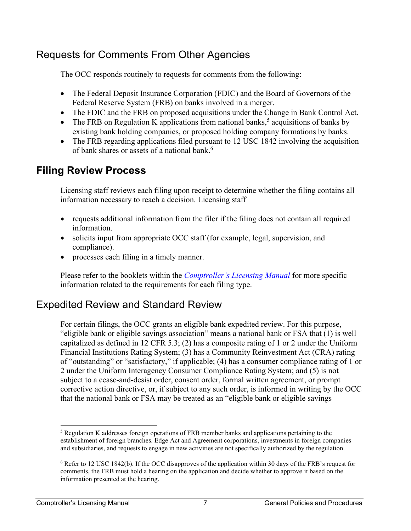### <span id="page-9-0"></span>Requests for Comments From Other Agencies

The OCC responds routinely to requests for comments from the following:

- The Federal Deposit Insurance Corporation (FDIC) and the Board of Governors of the Federal Reserve System (FRB) on banks involved in a merger.
- The FDIC and the FRB on proposed acquisitions under the Change in Bank Control Act.
- The FRB on Regulation K applications from national banks,<sup>5</sup> acquisitions of banks by existing bank holding companies, or proposed holding company formations by banks.
- The FRB regarding applications filed pursuant to 12 USC 1842 involving the acquisition of bank shares or assets of a national bank. 6

### <span id="page-9-1"></span>**Filing Review Process**

Licensing staff reviews each filing upon receipt to determine whether the filing contains all information necessary to reach a decision. Licensing staff

- requests additional information from the filer if the filing does not contain all required information.
- solicits input from appropriate OCC staff (for example, legal, supervision, and compliance).
- processes each filing in a timely manner.

Please refer to the booklets within the *Compt[roller's Licensing Manual](https://www.occ.treas.gov/publications-and-resources/publications/comptrollers-licensing-manual/index-comptrollers-licensing-manual.html)* for more specific information related to the requirements for each filing type.

## <span id="page-9-2"></span>Expedited Review and Standard Review

For certain filings, the OCC grants an eligible bank expedited review. For this purpose, "eligible bank or eligible savings association" means a national bank or FSA that (1) is well capitalized as defined in 12 CFR 5.3; (2) has a composite rating of 1 or 2 under the Uniform Financial Institutions Rating System; (3) has a Community Reinvestment Act (CRA) rating of "outstanding" or "satisfactory," if applicable; (4) has a consumer compliance rating of 1 or 2 under the Uniform Interagency Consumer Compliance Rating System; and (5) is not subject to a cease-and-desist order, consent order, formal written agreement, or prompt corrective action directive, or, if subject to any such order, is informed in writing by the OCC that the national bank or FSA may be treated as an "eligible bank or eligible savings

 $<sup>5</sup>$  Regulation K addresses foreign operations of FRB member banks and applications pertaining to the</sup> establishment of foreign branches. Edge Act and Agreement corporations, investments in foreign companies and subsidiaries, and requests to engage in new activities are not specifically authorized by the regulation.

 $6$  Refer to 12 USC 1842(b). If the OCC disapproves of the application within 30 days of the FRB's request for i information presented at the hearing. to 12 USC<br>ents, the FF<br>ation prese<br>Licensing comments, the FRB must hold a hearing on the application and decide whether to approve it based on the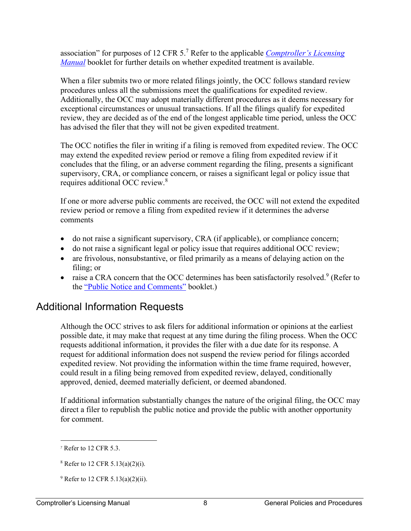association" for purposes of 12 CFR 5.7 Refer to the applicable *[Comptroller's Licensing](https://www.occ.treas.gov/publications-and-resources/publications/comptrollers-licensing-manual/index-comptrollers-licensing-manual.html) [Manual](https://www.occ.treas.gov/publications-and-resources/publications/comptrollers-licensing-manual/index-comptrollers-licensing-manual.html)* booklet for further details on whether expedited treatment is available.

When a filer submits two or more related filings jointly, the OCC follows standard review procedures unless all the submissions meet the qualifications for expedited review. Additionally, the OCC may adopt materially different procedures as it deems necessary for exceptional circumstances or unusual transactions. If all the filings qualify for expedited review, they are decided as of the end of the longest applicable time period, unless the OCC has advised the filer that they will not be given expedited treatment.

The OCC notifies the filer in writing if a filing is removed from expedited review. The OCC may extend the expedited review period or remove a filing from expedited review if it concludes that the filing, or an adverse comment regarding the filing, presents a significant supervisory, CRA, or compliance concern, or raises a significant legal or policy issue that requires additional OCC review.<sup>8</sup>

If one or more adverse public comments are received, the OCC will not extend the expedited review period or remove a filing from expedited review if it determines the adverse comments

- do not raise a significant supervisory, CRA (if applicable), or compliance concern;
- do not raise a significant legal or policy issue that requires additional OCC review;
- are frivolous, nonsubstantive, or filed primarily as a means of delaying action on the filing; or
- raise a CRA concern that the OCC determines has been satisfactorily resolved.<sup>9</sup> (Refer to the ["Public Notice and Comments"](https://www.occ.gov/publications-and-resources/publications/comptrollers-licensing-manual/files/licensing-booklet-public-notice-and-comments.html) booklet.)

#### <span id="page-10-0"></span>Additional Information Requests

Although the OCC strives to ask filers for additional information or opinions at the earliest possible date, it may make that request at any time during the filing process. When the OCC requests additional information, it provides the filer with a due date for its response. A request for additional information does not suspend the review period for filings accorded expedited review. Not providing the information within the time frame required, however, could result in a filing being removed from expedited review, delayed, conditionally approved, denied, deemed materially deficient, or deemed abandoned.

If additional information substantially changes the nature of the original filing, the OCC may direct a filer to republish the public notice and provide the public with another opportunity for comment.

 <sup>7</sup> Refer to 12 CFR 5.3.

<sup>&</sup>lt;sup>8</sup> Refer to 12 CFR 5.13(a)(2)(i).

<sup>&</sup>lt;sup>9</sup> Refer to 12 CFR 5.13(a)(2)(ii).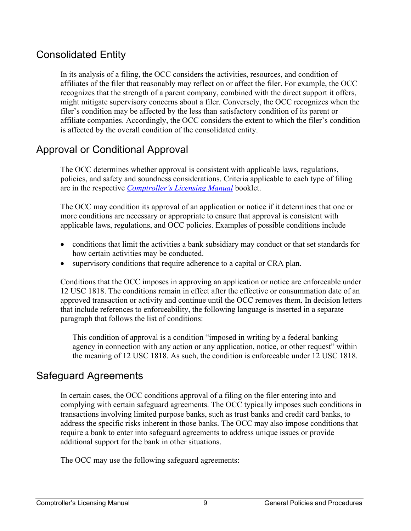#### <span id="page-11-0"></span>Consolidated Entity

In its analysis of a filing, the OCC considers the activities, resources, and condition of affiliates of the filer that reasonably may reflect on or affect the filer. For example, the OCC recognizes that the strength of a parent company, combined with the direct support it offers, might mitigate supervisory concerns about a filer. Conversely, the OCC recognizes when the filer's condition may be affected by the less than satisfactory condition of its parent or affiliate companies. Accordingly, the OCC considers the extent to which the filer's condition is affected by the overall condition of the consolidated entity.

## <span id="page-11-1"></span>Approval or Conditional Approval

The OCC determines whether approval is consistent with applicable laws, regulations, policies, and safety and soundness considerations. Criteria applicable to each type of filing are in the respective *[Comptroller's Licensing Manual](https://www.occ.treas.gov/publications-and-resources/publications/comptrollers-licensing-manual/index-comptrollers-licensing-manual.html)* booklet.

The OCC may condition its approval of an application or notice if it determines that one or more conditions are necessary or appropriate to ensure that approval is consistent with applicable laws, regulations, and OCC policies. Examples of possible conditions include

- conditions that limit the activities a bank subsidiary may conduct or that set standards for how certain activities may be conducted.
- supervisory conditions that require adherence to a capital or CRA plan.

Conditions that the OCC imposes in approving an application or notice are enforceable under 12 USC 1818. The conditions remain in effect after the effective or consummation date of an approved transaction or activity and continue until the OCC removes them. In decision letters that include references to enforceability, the following language is inserted in a separate paragraph that follows the list of conditions:

This condition of approval is a condition "imposed in writing by a federal banking agency in connection with any action or any application, notice, or other request" within the meaning of 12 USC 1818. As such, the condition is enforceable under 12 USC 1818.

#### <span id="page-11-2"></span>Safeguard Agreements

In certain cases, the OCC conditions approval of a filing on the filer entering into and complying with certain safeguard agreements. The OCC typically imposes such conditions in transactions involving limited purpose banks, such as trust banks and credit card banks, to address the specific risks inherent in those banks. The OCC may also impose conditions that require a bank to enter into safeguard agreements to address unique issues or provide additional support for the bank in other situations.

The OCC may use the following safeguard agreements: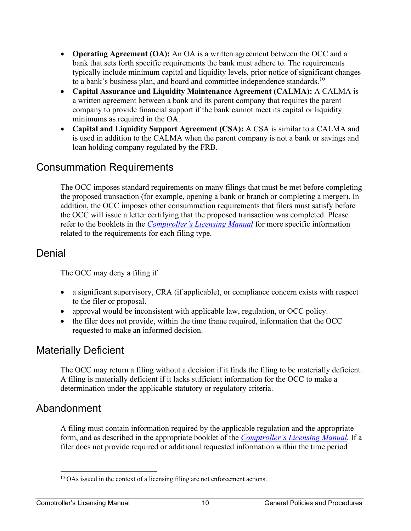- **Operating Agreement (OA):** An OA is a written agreement between the OCC and a bank that sets forth specific requirements the bank must adhere to. The requirements typically include minimum capital and liquidity levels, prior notice of significant changes to a bank's business plan, and board and committee independence [standards.](https://standards.10)<sup>10</sup>
- **Capital Assurance and Liquidity Maintenance Agreement (CALMA):** A CALMA is a written agreement between a bank and its parent company that requires the parent company to provide financial support if the bank cannot meet its capital or liquidity minimums as required in the OA.
- **Capital and Liquidity Support Agreement (CSA):** A CSA is similar to a CALMA and is used in addition to the CALMA when the parent company is not a bank or savings and loan holding company regulated by the FRB.

#### <span id="page-12-0"></span>Consummation Requirements

The OCC imposes standard requirements on many filings that must be met before completing the proposed transaction (for example, opening a bank or branch or completing a merger). In addition, the OCC imposes other consummation requirements that filers must satisfy before the OCC will issue a letter certifying that the proposed transaction was completed. Please refer to the booklets in the *[Comptroller's Licensing Manual](https://www.occ.treas.gov/publications-and-resources/publications/comptrollers-licensing-manual/index-comptrollers-licensing-manual.html)* for more specific information related to the requirements for each filing type.

#### <span id="page-12-1"></span>Denial

The OCC may deny a filing if

- a significant supervisory, CRA (if applicable), or compliance concern exists with respect to the filer or proposal.
- approval would be inconsistent with applicable law, regulation, or OCC policy.
- the filer does not provide, within the time frame required, information that the OCC requested to make an informed decision.

#### <span id="page-12-2"></span>Materially Deficient

 A filing is materially deficient if it lacks sufficient information for the OCC to make a The OCC may return a filing without a decision if it finds the filing to be materially deficient. determination under the applicable statutory or regulatory criteria.

#### <span id="page-12-3"></span>Abandonment

A filing must contain information required by the applicable regulation and the appropriate form, and as described in the appropriate booklet of the *[Comptroller's Licensing](https://www.occ.treas.gov/publications-and-resources/publications/comptrollers-licensing-manual/index-comptrollers-licensing-manual.html) Manual.* If a filer does not provide required or additional requested information within the time period

<sup>&</sup>lt;sup>10</sup> OAs issued in the context of a licensing filing are not enforcement actions.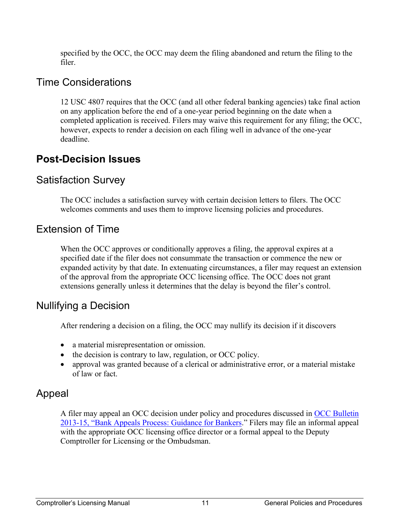specified by the OCC, the OCC may deem the filing abandoned and return the filing to the filer.

#### <span id="page-13-0"></span>Time Considerations

12 USC 4807 requires that the OCC (and all other federal banking agencies) take final action on any application before the end of a one-year period beginning on the date when a completed application is received. Filers may waive this requirement for any filing; the OCC, however, expects to render a decision on each filing well in advance of the one-year deadline.

# <span id="page-13-1"></span>**Post-Decision Issues**

## <span id="page-13-2"></span>Satisfaction Survey

The OCC includes a satisfaction survey with certain decision letters to filers. The OCC welcomes comments and uses them to improve licensing policies and procedures.

### <span id="page-13-3"></span>Extension of Time

When the OCC approves or conditionally approves a filing, the approval expires at a specified date if the filer does not consummate the transaction or commence the new or expanded activity by that date. In extenuating circumstances, a filer may request an extension of the approval from the appropriate OCC licensing office. The OCC does not grant extensions generally unless it determines that the delay is beyond the filer's control.

#### <span id="page-13-4"></span>Nullifying a Decision

After rendering a decision on a filing, the OCC may nullify its decision if it discovers

- a material misrepresentation or omission.
- the decision is contrary to law, regulation, or OCC policy.
- approval was granted because of a clerical or administrative error, or a material mistake of law or fact.

## <span id="page-13-5"></span>Appeal

A filer may appeal an OCC decision under policy and procedures discussed in [OCC Bulletin](https://www.occ.treas.gov/news-issuances/bulletins/2013/bulletin-2013-15.html)  2013-15[, "Bank Appeals Process: Guidance for Bankers](https://www.occ.treas.gov/news-issuances/bulletins/2013/bulletin-2013-15.html)." Filers may file an informal appeal with the appropriate OCC licensing office director or a formal appeal to the Deputy Comptroller for Licensing or the Ombudsman.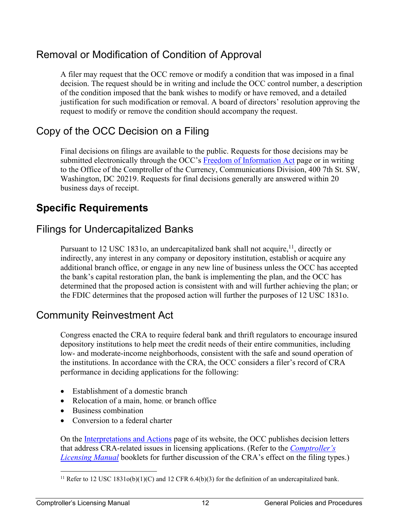#### <span id="page-14-0"></span>Removal or Modification of Condition of Approval

A filer may request that the OCC remove or modify a condition that was imposed in a final decision. The request should be in writing and include the OCC control number, a description of the condition imposed that the bank wishes to modify or have removed, and a detailed justification for such modification or removal. A board of directors' resolution approving the request to modify or remove the condition should accompany the request.

### <span id="page-14-1"></span>Copy of the OCC Decision on a Filing

Final decisions on filings are available to the public. Requests for those decisions may be submitted electronically through the OCC's [Freedom of Information Act](https://foia-pal.occ.gov/palMain.aspx) page or in writing to the Office of the Comptroller of the Currency, Communications Division, 400 7th St. SW, Washington, DC 20219. Requests for final decisions generally are answered within 20 business days of receipt.

# <span id="page-14-2"></span>**Specific Requirements**

### <span id="page-14-3"></span>Filings for Undercapitalized Banks

Pursuant to 12 USC 1831o, an undercapitalized bank shall not acquire, <sup>11</sup>, directly or indirectly, any interest in any company or depository institution, establish or acquire any additional branch office, or engage in any new line of business unless the OCC has accepted the bank's capital restoration plan, the bank is implementing the plan, and the OCC has determined that the proposed action is consistent with and will further achieving the plan; or the FDIC determines that the proposed action will further the purposes of 12 USC 1831o.

#### <span id="page-14-4"></span>Community Reinvestment Act

Congress enacted the CRA to require federal bank and thrift regulators to encourage insured depository institutions to help meet the credit needs of their entire communities, including low- and moderate-income neighborhoods, consistent with the safe and sound operation of the institutions. In accordance with the CRA, the OCC considers a filer's record of CRA performance in deciding applications for the following:

- Establishment of a domestic branch
- Relocation of a main, home, or branch office
- Business combination
- Conversion to a federal charter

On the [Interpretations and Actions](https://www.occ.gov/topics/licensing/interpretations-and-actions/index-interpretations-and-actions.html) page of its website, the OCC publishes decision letters that address CRA-related issues in licensing applications. (Refer to the *[Comptroller's](https://www.occ.treas.gov/publications-and-resources/publications/comptrollers-licensing-manual/index-comptrollers-licensing-manual.html)  [Licensing Manual](https://www.occ.treas.gov/publications-and-resources/publications/comptrollers-licensing-manual/index-comptrollers-licensing-manual.html)* booklets for further discussion of the CRA's effect on the filing types.)

<sup>&</sup>lt;sup>11</sup> Refer to 12 USC 1831o(b)(1)(C) and 12 CFR 6.4(b)(3) for the definition of an undercapitalized bank.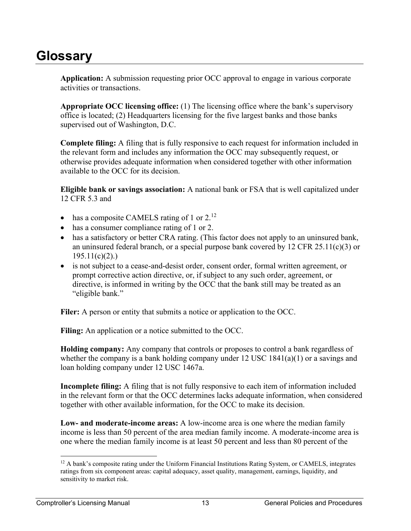# <span id="page-15-0"></span>**Glossary**

**Application:** A submission requesting prior OCC approval to engage in various corporate activities or transactions.

**Appropriate OCC licensing office:** (1) The licensing office where the bank's supervisory office is located; (2) Headquarters licensing for the five largest banks and those banks supervised out of Washington, D.C.

**Complete filing:** A filing that is fully responsive to each request for information included in the relevant form and includes any information the OCC may subsequently request, or otherwise provides adequate information when considered together with other information available to the OCC for its decision.

**Eligible bank or savings association:** A national bank or FSA that is well capitalized under 12 CFR 5.3 and

- has a composite CAMELS rating of 1 or  $2^{12}$
- has a consumer compliance rating of 1 or 2.
- has a satisfactory or better CRA rating. (This factor does not apply to an uninsured bank, an uninsured federal branch, or a special purpose bank covered by  $12 \text{ CFR } 25.11(c)(3)$  or  $195.11(c)(2)$ .
- is not subject to a cease-and-desist order, consent order, formal written agreement, or prompt corrective action directive, or, if subject to any such order, agreement, or directive, is informed in writing by the OCC that the bank still may be treated as an "eligible bank."

Filer: A person or entity that submits a notice or application to the OCC.

**Filing:** An application or a notice submitted to the OCC.

**Holding company:** Any company that controls or proposes to control a bank regardless of whether the company is a bank holding company under 12 USC 1841(a)(1) or a savings and loan holding company under 12 USC 1467a.

**Incomplete filing:** A filing that is not fully responsive to each item of information included in the relevant form or that the OCC determines lacks adequate information, when considered together with other available information, for the OCC to make its decision.

**Low- and moderate-income areas:** A low-income area is one where the median family income is less than 50 percent of the area median family income. A moderate-income area is one where the median family income is at least 50 percent and less than 80 percent of the

<sup>&</sup>lt;sup>12</sup> A bank's composite rating under the Uniform Financial Institutions Rating System, or CAMELS, integrates sensitivity to market risk. posite rating<br>component a<br>rket risk.<br>Manual ratings from six component areas: capital adequacy, asset quality, management, earnings, liquidity, and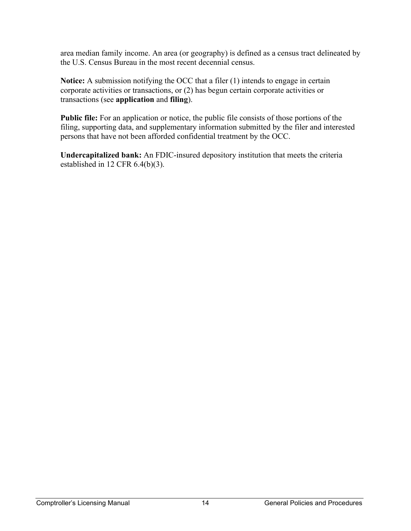area median family income. An area (or geography) is defined as a census tract delineated by the U.S. Census Bureau in the most recent decennial census.

**Notice:** A submission notifying the OCC that a filer (1) intends to engage in certain corporate activities or transactions, or (2) has begun certain corporate activities or transactions (see **application** and **filing**).

**Public file:** For an application or notice, the public file consists of those portions of the filing, supporting data, and supplementary information submitted by the filer and interested persons that have not been afforded confidential treatment by the OCC.

**Undercapitalized bank:** An FDIC-insured depository institution that meets the criteria established in 12 CFR 6.4(b)(3).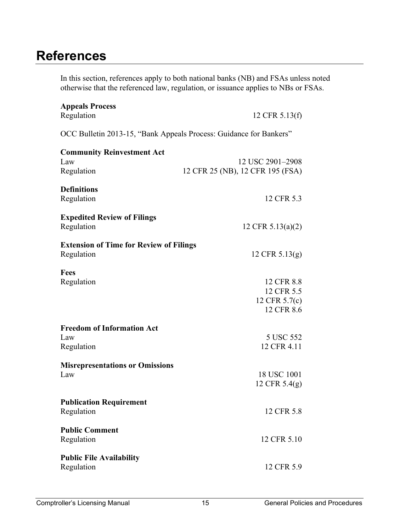# <span id="page-17-0"></span>**References**

In this section, references apply to both national banks (NB) and FSAs unless noted otherwise that the referenced law, regulation, or issuance applies to NBs or FSAs.

| <b>Appeals Process</b><br>Regulation                               | 12 CFR 5.13(f)                                          |  |  |  |
|--------------------------------------------------------------------|---------------------------------------------------------|--|--|--|
| OCC Bulletin 2013-15, "Bank Appeals Process: Guidance for Bankers" |                                                         |  |  |  |
| <b>Community Reinvestment Act</b><br>Law<br>Regulation             | 12 USC 2901-2908<br>12 CFR 25 (NB), 12 CFR 195 (FSA)    |  |  |  |
| <b>Definitions</b><br>Regulation                                   | 12 CFR 5.3                                              |  |  |  |
| <b>Expedited Review of Filings</b><br>Regulation                   | 12 CFR $5.13(a)(2)$                                     |  |  |  |
| <b>Extension of Time for Review of Filings</b><br>Regulation       | 12 CFR $5.13(g)$                                        |  |  |  |
| <b>Fees</b><br>Regulation                                          | 12 CFR 8.8<br>12 CFR 5.5<br>12 CFR 5.7(c)<br>12 CFR 8.6 |  |  |  |
| <b>Freedom of Information Act</b><br>Law<br>Regulation             | 5 USC 552<br>12 CFR 4.11                                |  |  |  |
| <b>Misrepresentations or Omissions</b><br>Law                      | 18 USC 1001<br>12 CFR $5.4(g)$                          |  |  |  |
| <b>Publication Requirement</b><br>Regulation                       | 12 CFR 5.8                                              |  |  |  |
| <b>Public Comment</b><br>Regulation                                | 12 CFR 5.10                                             |  |  |  |
| <b>Public File Availability</b><br>Regulation                      | 12 CFR 5.9                                              |  |  |  |